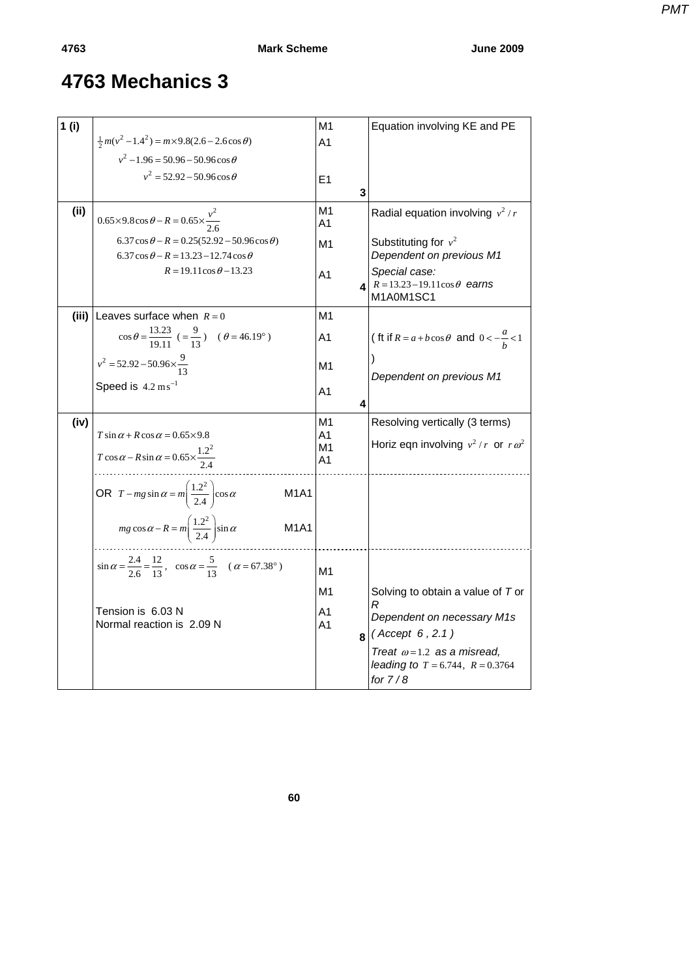| 1(i) |                                                                                                                | M <sub>1</sub>     | Equation involving KE and PE                                                            |
|------|----------------------------------------------------------------------------------------------------------------|--------------------|-----------------------------------------------------------------------------------------|
|      | $\frac{1}{2}m(v^2-1.4^2) = m \times 9.8(2.6-2.6\cos\theta)$                                                    | A1                 |                                                                                         |
|      | $v^2$ – 1.96 = 50.96 – 50.96 cos $\theta$                                                                      |                    |                                                                                         |
|      | $v^2 = 52.92 - 50.96 \cos \theta$                                                                              | E1                 |                                                                                         |
|      |                                                                                                                | 3                  |                                                                                         |
| (i)  | $0.65 \times 9.8 \cos \theta - R = 0.65 \times \frac{v^2}{2.6}$                                                | M1<br>A1           | Radial equation involving $v^2/r$                                                       |
|      | $6.37 \cos \theta - R = 0.25(52.92 - 50.96 \cos \theta)$<br>$6.37 \cos \theta - R = 13.23 - 12.74 \cos \theta$ | M1                 | Substituting for $v^2$<br>Dependent on previous M1                                      |
|      | $R = 19.11 \cos \theta - 13.23$                                                                                | A1<br>$\mathbf{A}$ | Special case:<br>$R = 13.23 - 19.11 \cos \theta$ earns<br>M1A0M1SC1                     |
|      | (iii) Leaves surface when $R = 0$                                                                              | M1                 |                                                                                         |
|      | $\cos \theta = \frac{13.23}{19.11}$ ( $= \frac{9}{13}$ ) ( $\theta = 46.19^{\circ}$ )                          | A1                 | (ft if $R = a + b \cos \theta$ and $0 < -\frac{a}{b} < 1$                               |
|      | $v^2 = 52.92 - 50.96 \times \frac{9}{13}$                                                                      | M1                 | Dependent on previous M1                                                                |
|      | Speed is $4.2 \text{ ms}^{-1}$                                                                                 | A1<br>4            |                                                                                         |
| (iv) |                                                                                                                | M1                 | Resolving vertically (3 terms)                                                          |
|      | $T \sin \alpha + R \cos \alpha = 0.65 \times 9.8$                                                              | A1<br>M1           | Horiz eqn involving $v^2/r$ or $r\omega^2$                                              |
|      | $T \cos \alpha - R \sin \alpha = 0.65 \times \frac{1.2^2}{2.4}$                                                | A1                 |                                                                                         |
|      | OR $T - mg \sin \alpha = m \left( \frac{1.2^2}{2.4} \right) \cos \alpha$<br><b>M1A1</b>                        |                    |                                                                                         |
|      | $mg \cos \alpha - R = m \left(\frac{1.2^2}{2.4}\right) \sin \alpha$<br><b>M1A1</b>                             |                    |                                                                                         |
|      | $\sin \alpha = \frac{2.4}{2.6} = \frac{12}{13}$ , $\cos \alpha = \frac{5}{13}$ $(\alpha = 67.38^{\circ})$      | M1                 |                                                                                         |
|      |                                                                                                                | M1                 | Solving to obtain a value of T or                                                       |
|      | Tension is 6.03 N                                                                                              | Α1                 | R<br>Dependent on necessary M1s                                                         |
|      | Normal reaction is 2.09 N                                                                                      | A1                 | $8$ (Accept 6, 2.1)                                                                     |
|      |                                                                                                                |                    | Treat $\omega$ =1.2 as a misread,<br>leading to $T = 6.744$ , $R = 0.3764$<br>for $7/8$ |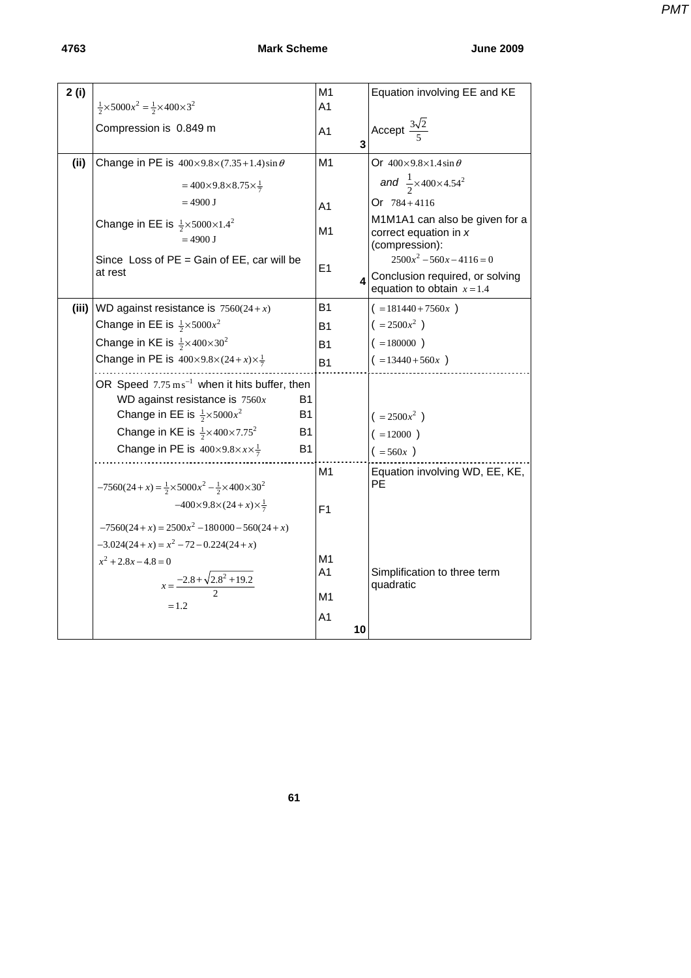**4763 Mark Scheme June 2009** 

*PMT*

| 2(i)  |                                                                                                                                 | M1             |                | Equation involving EE and KE                                                     |
|-------|---------------------------------------------------------------------------------------------------------------------------------|----------------|----------------|----------------------------------------------------------------------------------|
|       | $\frac{1}{2} \times 5000x^2 = \frac{1}{2} \times 400 \times 3^2$                                                                | A <sub>1</sub> |                |                                                                                  |
|       | Compression is 0.849 m                                                                                                          | A <sub>1</sub> |                | Accept $\frac{3\sqrt{2}}{5}$                                                     |
|       |                                                                                                                                 |                | $\overline{3}$ |                                                                                  |
| (ii)  | Change in PE is $400 \times 9.8 \times (7.35 + 1.4) \sin \theta$                                                                | M1             |                | Or $400\times9.8\times1.4\sin\theta$                                             |
|       | $=400\times9.8\times8.75\times\frac{1}{7}$                                                                                      |                |                | and $\frac{1}{2} \times 400 \times 4.54^2$                                       |
|       | $= 4900$ J                                                                                                                      | A <sub>1</sub> |                | Or $784 + 4116$                                                                  |
|       | Change in EE is $\frac{1}{2} \times 5000 \times 1.4^2$<br>$= 4900$ J                                                            | M1             |                | M1M1A1 can also be given for a<br>correct equation in x                          |
|       | Since Loss of $PE =$ Gain of $EE$ , car will be<br>at rest                                                                      | E1             |                | (compression):<br>$2500x^2 - 560x - 4116 = 0$<br>Conclusion required, or solving |
|       |                                                                                                                                 |                |                | equation to obtain $x=1.4$                                                       |
| (iii) | WD against resistance is $7560(24+x)$                                                                                           | <b>B1</b>      |                | $( =181440 + 7560x )$                                                            |
|       | Change in EE is $\frac{1}{2} \times 5000x^2$                                                                                    | <b>B1</b>      |                | $( = 2500x^2 )$                                                                  |
|       | Change in KE is $\frac{1}{2} \times 400 \times 30^2$                                                                            | <b>B1</b>      |                | $( =180000)$                                                                     |
|       | Change in PE is $400\times9.8\times(24+x)\times\frac{1}{7}$                                                                     | <b>B1</b>      |                | $( =13440+560x )$                                                                |
|       | OR Speed $7.75 \text{ m s}^{-1}$ when it hits buffer, then                                                                      |                |                |                                                                                  |
|       | WD against resistance is $7560x$<br>B1                                                                                          |                |                |                                                                                  |
|       | Change in EE is $\frac{1}{2} \times 5000x^2$<br>Β1                                                                              |                |                | $( = 2500x2)$<br>$( = 12000)$                                                    |
|       | Change in KE is $\frac{1}{2} \times 400 \times 7.75^2$<br>Β1                                                                    |                |                |                                                                                  |
|       | Change in PE is $400\times9.8\times x\times\frac{1}{7}$<br>B <sub>1</sub>                                                       |                |                | $( =560x )$                                                                      |
|       |                                                                                                                                 | M1             |                | Equation involving WD, EE, KE,<br>РE                                             |
|       | $-7560(24+x) = \frac{1}{2} \times 5000x^2 - \frac{1}{2} \times 400 \times 30^2$<br>$-400\times9.8\times(24+x)\times\frac{1}{7}$ |                |                |                                                                                  |
|       |                                                                                                                                 | F <sub>1</sub> |                |                                                                                  |
|       | $-7560(24+x) = 2500x^2 - 180000 - 560(24+x)$                                                                                    |                |                |                                                                                  |
|       | $-3.024(24+x) = x^2 - 72 - 0.224(24+x)$<br>$x^2 + 2.8x - 4.8 = 0$                                                               | M1             |                |                                                                                  |
|       |                                                                                                                                 | A1             |                | Simplification to three term                                                     |
|       | $x = \frac{-2.8 + \sqrt{2.8^2 + 19.2}}{2}$                                                                                      | M1             |                | quadratic                                                                        |
|       | $=1.2$                                                                                                                          |                |                |                                                                                  |
|       |                                                                                                                                 | A <sub>1</sub> | 10             |                                                                                  |

**61**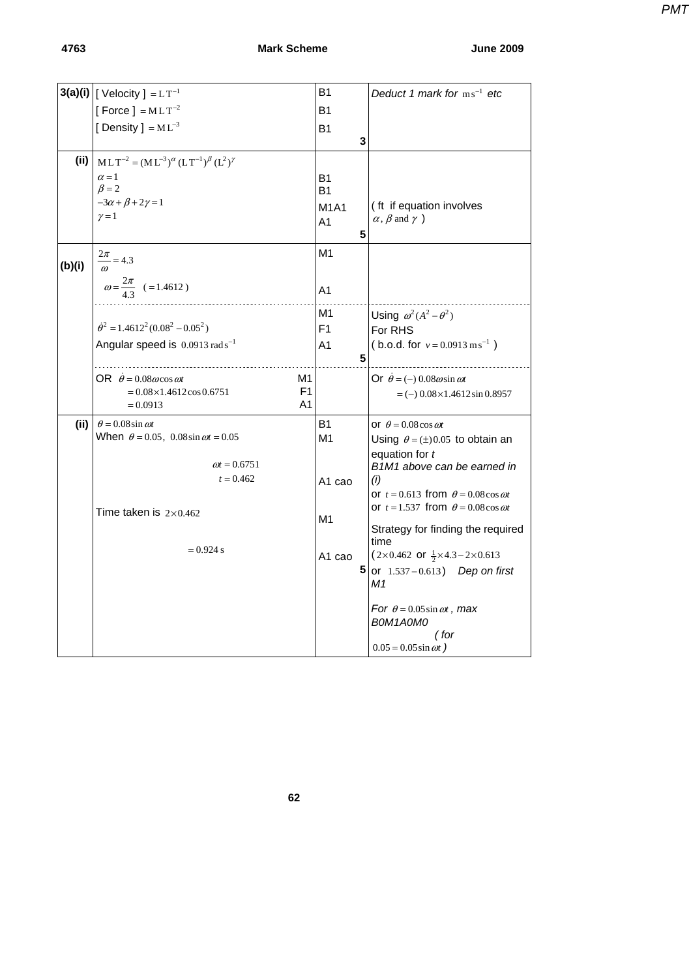## **4763 Mark Scheme June 2009**

*PMT*

|        | $3(a)(i)$   [ Velocity ] = $LT^{-1}$                               | <b>B1</b>          | Deduct 1 mark for $ms^{-1}$ etc                               |
|--------|--------------------------------------------------------------------|--------------------|---------------------------------------------------------------|
|        | [Force ] = $MLT^{-2}$                                              | B1                 |                                                               |
|        | [Density] = $ML^{-3}$                                              | <b>B1</b>          |                                                               |
|        |                                                                    | 3                  |                                                               |
| (ii)   | $MLT^{-2} = (ML^{-3})^{\alpha} (LT^{-1})^{\beta} (L^{2})^{\gamma}$ |                    |                                                               |
|        | $\alpha = 1$                                                       | <b>B1</b>          |                                                               |
|        | $\beta = 2$                                                        | <b>B1</b>          |                                                               |
|        | $-3\alpha + \beta + 2\gamma = 1$<br>$\gamma = 1$                   | <b>M1A1</b>        | (ft if equation involves                                      |
|        |                                                                    | A1                 | $\alpha$ , $\beta$ and $\gamma$ )                             |
|        |                                                                    | 5                  |                                                               |
| (b)(i) | $\frac{2\pi}{\omega} = 4.3$                                        | M1                 |                                                               |
|        |                                                                    |                    |                                                               |
|        | $\omega = \frac{2\pi}{4 \text{3}}$ (=1.4612)                       | A <sub>1</sub>     |                                                               |
|        |                                                                    | M1                 | Using $\omega^2(A^2-\theta^2)$                                |
|        | $\dot{\theta}^2 = 1.4612^2(0.08^2 - 0.05^2)$                       | F1                 | For RHS                                                       |
|        | Angular speed is $0.0913$ rad s <sup>-1</sup>                      | Α1                 | (b.o.d. for $v = 0.0913 \text{ m s}^{-1}$ )                   |
|        |                                                                    | 5                  |                                                               |
|        | OR $\dot{\theta} = 0.08 \omega \cos \omega t$<br>M1                |                    | Or $\dot{\theta} = (-) 0.08 \omega \sin \omega t$             |
|        | F1<br>$= 0.08 \times 1.4612 \cos 0.6751$                           |                    | $= (-) 0.08 \times 1.4612 \sin 0.8957$                        |
|        | A1<br>$= 0.0913$                                                   |                    |                                                               |
| (ii)   | $\theta$ = 0.08 sin $\omega t$                                     | <b>B1</b>          | or $\theta = 0.08 \cos \omega t$                              |
|        | When $\theta = 0.05$ , 0.08sin $\omega t = 0.05$                   | M1                 | Using $\theta = (\pm) 0.05$ to obtain an                      |
|        | $\omega t = 0.6751$                                                |                    | equation for $t$<br>B1M1 above can be earned in               |
|        | $t = 0.462$                                                        | A <sub>1</sub> cao | (i)                                                           |
|        |                                                                    |                    | or $t = 0.613$ from $\theta = 0.08 \cos \omega t$             |
|        | Time taken is $2\times0.462$                                       |                    | or $t = 1.537$ from $\theta = 0.08 \cos \omega t$             |
|        |                                                                    | M1                 | Strategy for finding the required                             |
|        |                                                                    |                    | time                                                          |
|        | $= 0.924$ s                                                        | A1 cao             | $(2\times0.462 \text{ or } \frac{1}{2}\times4.3-2\times0.613$ |
|        |                                                                    | 5                  | or $1.537 - 0.613$ ) Dep on first<br>M1                       |
|        |                                                                    |                    | For $\theta = 0.05 \sin \omega t$ , max                       |
|        |                                                                    |                    | BOM1AOMO                                                      |
|        |                                                                    |                    | (for                                                          |
|        |                                                                    |                    | $0.05 = 0.05 \sin \omega t$                                   |